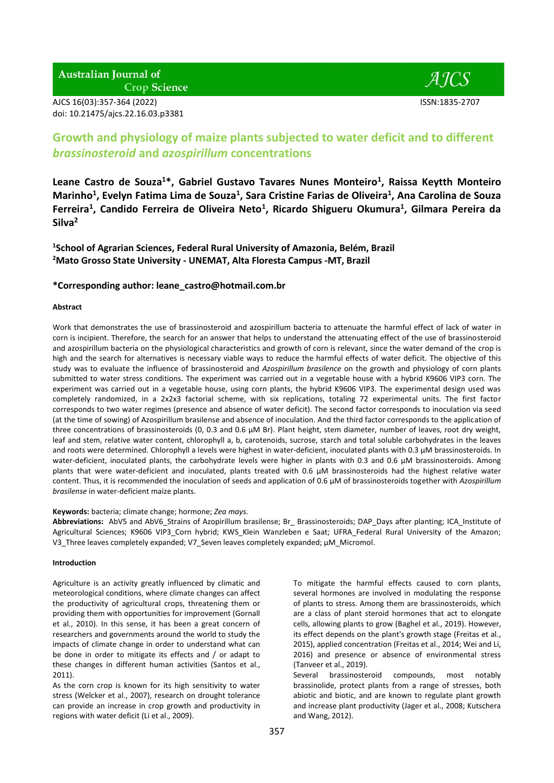**Australian Journal of Crop Science** 

AJCS 16(03):357-364 (2022) ISSN:1835-2707 doi: 10.21475/ajcs.22.16.03.p3381



# **Growth and physiology of maize plants subjected to water deficit and to different**  *brassinosteroid* **and** *azospirillum* **concentrations**

**Leane Castro de Souza<sup>1</sup>\*, Gabriel Gustavo Tavares Nunes Monteiro<sup>1</sup> , Raissa Keytth Monteiro Marinho<sup>1</sup> , Evelyn Fatima Lima de Souza<sup>1</sup> , Sara Cristine Farias de Oliveira<sup>1</sup> , Ana Carolina de Souza Ferreira<sup>1</sup> , Candido Ferreira de Oliveira Neto<sup>1</sup> , Ricardo Shigueru Okumura<sup>1</sup> , Gilmara Pereira da Silva<sup>2</sup>**

**1 School of Agrarian Sciences, Federal Rural University of Amazonia, Belém, Brazil <sup>2</sup>Mato Grosso State University - UNEMAT, Alta Floresta Campus -MT, Brazil**

# **\*Corresponding author: [leane\\_castro@hotmail.com.br](mailto:leane_castro@hotmail.com.br)**

## **Abstract**

Work that demonstrates the use of brassinosteroid and azospirillum bacteria to attenuate the harmful effect of lack of water in corn is incipient. Therefore, the search for an answer that helps to understand the attenuating effect of the use of brassinosteroid and azospirillum bacteria on the physiological characteristics and growth of corn is relevant, since the water demand of the crop is high and the search for alternatives is necessary viable ways to reduce the harmful effects of water deficit. The objective of this study was to evaluate the influence of brassinosteroid and *Azospirillum brasilence* on the growth and physiology of corn plants submitted to water stress conditions. The experiment was carried out in a vegetable house with a hybrid K9606 VIP3 corn. The experiment was carried out in a vegetable house, using corn plants, the hybrid K9606 VIP3. The experimental design used was completely randomized, in a 2x2x3 factorial scheme, with six replications, totaling 72 experimental units. The first factor corresponds to two water regimes (presence and absence of water deficit). The second factor corresponds to inoculation via seed (at the time of sowing) of Azospirillum brasilense and absence of inoculation. And the third factor corresponds to the application of three concentrations of brassinosteroids (0, 0.3 and 0.6 μM Br). Plant height, stem diameter, number of leaves, root dry weight, leaf and stem, relative water content, chlorophyll a, b, carotenoids, sucrose, starch and total soluble carbohydrates in the leaves and roots were determined. Chlorophyll a levels were highest in water-deficient, inoculated plants with 0.3 μM brassinosteroids. In water-deficient, inoculated plants, the carbohydrate levels were higher in plants with 0.3 and 0.6 μM brassinosteroids. Among plants that were water-deficient and inoculated, plants treated with 0.6 μM brassinosteroids had the highest relative water content. Thus, it is recommended the inoculation of seeds and application of 0.6 μM of brassinosteroids together with *Azospirillum brasilense* in water-deficient maize plants.

## **Keywords:** bacteria; climate change; hormone; *Zea mays.*

**Abbreviations:** AbV5 and AbV6\_Strains of Azopirillum brasilense; Br\_ Brassinosteroids; DAP\_Days after planting; ICA\_Institute of Agricultural Sciences; K9606 VIP3 Corn hybrid; KWS Klein Wanzleben e Saat; UFRA Federal Rural University of the Amazon; V3\_Three leaves completely expanded; V7\_Seven leaves completely expanded; μM\_Micromol.

## **Introduction**

Agriculture is an activity greatly influenced by climatic and meteorological conditions, where climate changes can affect the productivity of agricultural crops, threatening them or providing them with opportunities for improvement (Gornall et al., 2010). In this sense, it has been a great concern of researchers and governments around the world to study the impacts of climate change in order to understand what can be done in order to mitigate its effects and / or adapt to these changes in different human activities (Santos et al., 2011).

As the corn crop is known for its high sensitivity to water stress (Welcker et al., 2007), research on drought tolerance can provide an increase in crop growth and productivity in regions with water deficit (Li et al., 2009).

To mitigate the harmful effects caused to corn plants, several hormones are involved in modulating the response of plants to stress. Among them are brassinosteroids, which are a class of plant steroid hormones that act to elongate cells, allowing plants to grow (Baghel et al., 2019). However, its effect depends on the plant's growth stage (Freitas et al., 2015), applied concentration (Freitas et al., 2014; Wei and Li, 2016) and presence or absence of environmental stress (Tanveer et al., 2019).

Several brassinosteroid compounds, most notably brassinolide, protect plants from a range of stresses, both abiotic and biotic, and are known to regulate plant growth and increase plant productivity (Jager et al., 2008; Kutschera and Wang, 2012).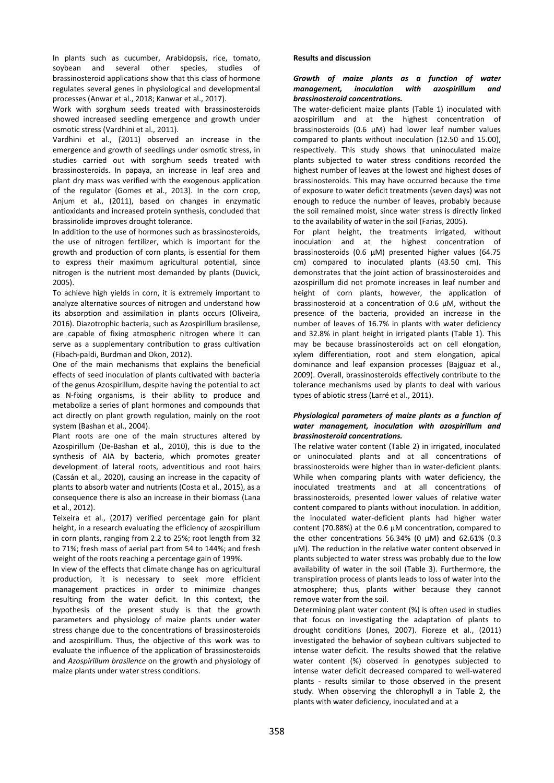In plants such as cucumber, Arabidopsis, rice, tomato, soybean and several other species, studies of brassinosteroid applications show that this class of hormone regulates several genes in physiological and developmental processes (Anwar et al., 2018; Kanwar et al., 2017).

Work with sorghum seeds treated with brassinosteroids showed increased seedling emergence and growth under osmotic stress (Vardhini et al., 2011).

Vardhini et al., (2011) observed an increase in the emergence and growth of seedlings under osmotic stress, in studies carried out with sorghum seeds treated with brassinosteroids. In papaya, an increase in leaf area and plant dry mass was verified with the exogenous application of the regulator (Gomes et al., 2013). In the corn crop, Anjum et al., (2011), based on changes in enzymatic antioxidants and increased protein synthesis, concluded that brassinolide improves drought tolerance.

In addition to the use of hormones such as brassinosteroids, the use of nitrogen fertilizer, which is important for the growth and production of corn plants, is essential for them to express their maximum agricultural potential, since nitrogen is the nutrient most demanded by plants (Duvick, 2005).

To achieve high yields in corn, it is extremely important to analyze alternative sources of nitrogen and understand how its absorption and assimilation in plants occurs (Oliveira, 2016). Diazotrophic bacteria, such as Azospirillum brasilense, are capable of fixing atmospheric nitrogen where it can serve as a supplementary contribution to grass cultivation (Fibach-paldi, Burdman and Okon, 2012).

One of the main mechanisms that explains the beneficial effects of seed inoculation of plants cultivated with bacteria of the genus Azospirillum, despite having the potential to act as N-fixing organisms, is their ability to produce and metabolize a series of plant hormones and compounds that act directly on plant growth regulation, mainly on the root system (Bashan et al., 2004).

Plant roots are one of the main structures altered by Azospirillum (De-Bashan et al., 2010), this is due to the synthesis of AIA by bacteria, which promotes greater development of lateral roots, adventitious and root hairs (Cassán et al., 2020), causing an increase in the capacity of plants to absorb water and nutrients (Costa et al., 2015), as a consequence there is also an increase in their biomass (Lana et al., 2012).

Teixeira et al., (2017) verified percentage gain for plant height, in a research evaluating the efficiency of azospirillum in corn plants, ranging from 2.2 to 25%; root length from 32 to 71%; fresh mass of aerial part from 54 to 144%; and fresh weight of the roots reaching a percentage gain of 199%.

In view of the effects that climate change has on agricultural production, it is necessary to seek more efficient management practices in order to minimize changes resulting from the water deficit. In this context, the hypothesis of the present study is that the growth parameters and physiology of maize plants under water stress change due to the concentrations of brassinosteroids and azospirillum. Thus, the objective of this work was to evaluate the influence of the application of brassinosteroids and *Azospirillum brasilence* on the growth and physiology of maize plants under water stress conditions.

## **Results and discussion**

# *Growth of maize plants as a function of water management, inoculation with azospirillum and brassinosteroid concentrations.*

The water-deficient maize plants (Table 1) inoculated with azospirillum and at the highest concentration of brassinosteroids (0.6 μM) had lower leaf number values compared to plants without inoculation (12.50 and 15.00), respectively. This study shows that uninoculated maize plants subjected to water stress conditions recorded the highest number of leaves at the lowest and highest doses of brassinosteroids. This may have occurred because the time of exposure to water deficit treatments (seven days) was not enough to reduce the number of leaves, probably because the soil remained moist, since water stress is directly linked to the availability of water in the soil (Farias, 2005).

For plant height, the treatments irrigated, without inoculation and at the highest concentration of brassinosteroids (0.6 μM) presented higher values (64.75 cm) compared to inoculated plants (43.50 cm). This demonstrates that the joint action of brassinosteroides and azospirillum did not promote increases in leaf number and height of corn plants, however, the application of brassinosteroid at a concentration of 0.6 μM, without the presence of the bacteria, provided an increase in the number of leaves of 16.7% in plants with water deficiency and 32.8% in plant height in irrigated plants (Table 1). This may be because brassinosteroids act on cell elongation, xylem differentiation, root and stem elongation, apical dominance and leaf expansion processes (Bajguaz et al., 2009). Overall, brassinosteroids effectively contribute to the tolerance mechanisms used by plants to deal with various types of abiotic stress (Larré et al., 2011).

## *Physiological parameters of maize plants as a function of water management, inoculation with azospirillum and brassinosteroid concentrations.*

The relative water content (Table 2) in irrigated, inoculated or uninoculated plants and at all concentrations of brassinosteroids were higher than in water-deficient plants. While when comparing plants with water deficiency, the inoculated treatments and at all concentrations of brassinosteroids, presented lower values of relative water content compared to plants without inoculation. In addition, the inoculated water-deficient plants had higher water content (70.88%) at the 0.6 μM concentration, compared to the other concentrations 56.34% (0  $\mu$ M) and 62.61% (0.3 µM). The reduction in the relative water content observed in plants subjected to water stress was probably due to the low availability of water in the soil (Table 3). Furthermore, the transpiration process of plants leads to loss of water into the atmosphere; thus, plants wither because they cannot remove water from the soil.

Determining plant water content (%) is often used in studies that focus on investigating the adaptation of plants to drought conditions (Jones, 2007). Fioreze et al., (2011) investigated the behavior of soybean cultivars subjected to intense water deficit. The results showed that the relative water content (%) observed in genotypes subjected to intense water deficit decreased compared to well-watered plants - results similar to those observed in the present study. When observing the chlorophyll a in Table 2, the plants with water deficiency, inoculated and at a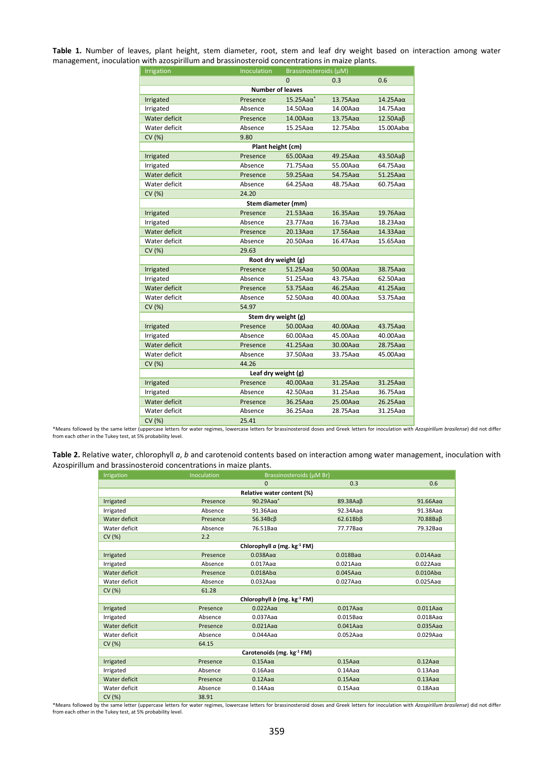**Table 1.** Number of leaves, plant height, stem diameter, root, stem and leaf dry weight based on interaction among water management, inoculation with azospirillum and brassinosteroid concentrations in maize plants.

| Irrigation                                                                         | Inoculation                    | Brassinosteroids (µM) |                     |                      |  |  |
|------------------------------------------------------------------------------------|--------------------------------|-----------------------|---------------------|----------------------|--|--|
|                                                                                    |                                | $\Omega$              | 0.3                 | 0.6                  |  |  |
| <b>Number of leaves</b>                                                            |                                |                       |                     |                      |  |  |
| Irrigated                                                                          | Presence                       | $15.25$ Aa $\alpha^*$ | $13.75Aa\alpha$     | $14.25$ Aa $\alpha$  |  |  |
| Irrigated                                                                          | Absence                        | $14.50$ Aa $\alpha$   | $14.00$ Aa $\alpha$ | $14.75$ Aa $\alpha$  |  |  |
| Water deficit                                                                      | Presence                       | $14.00$ Aa $\alpha$   | $13.75Aa\alpha$     | 12.50AaB             |  |  |
| Water deficit                                                                      | Absence                        | $15.25$ Aa $\alpha$   |                     | $15.00$ Aab $\alpha$ |  |  |
| 9.80<br>CV (%)                                                                     |                                |                       |                     |                      |  |  |
| Plant height (cm)                                                                  |                                |                       |                     |                      |  |  |
| Irrigated                                                                          | Presence                       | $65.00Aa\alpha$       | $49.25Aa\alpha$     | 43.50Aaβ             |  |  |
| Irrigated                                                                          | Absence                        | $71.75$ Aa $\alpha$   | $55.00A$ a $\alpha$ | $64.75A$ a $\alpha$  |  |  |
| Water deficit                                                                      | Presence                       | $59.25Aa\alpha$       | $54.75Aa\alpha$     | $51.25Aa\alpha$      |  |  |
| Water deficit                                                                      | Absence                        | $64.25$ Aa $\alpha$   | $48.75Aa\alpha$     | $60.75A$ a $\alpha$  |  |  |
| 24.20<br>CV (%)                                                                    |                                |                       |                     |                      |  |  |
|                                                                                    | Stem diameter (mm)             |                       |                     |                      |  |  |
| Irrigated                                                                          | Presence                       | $21.53Aa\alpha$       | $16.35Aa\alpha$     | $19.76A$ a $\alpha$  |  |  |
| Irrigated                                                                          | Absence                        | $23.77$ Aa $\alpha$   | $16.73A$ a $\alpha$ | $18.23$ Aa $\alpha$  |  |  |
| Water deficit                                                                      | Presence                       | $20.13Aa\alpha$       |                     | $14.33Aa\alpha$      |  |  |
| Water deficit                                                                      | Absence                        | $20.50$ Aa $\alpha$   | $16.47$ Aa $\alpha$ | $15.65$ Aa $\alpha$  |  |  |
| CV (%)<br>29.63                                                                    |                                |                       |                     |                      |  |  |
|                                                                                    | Root dry weight (g)            |                       |                     |                      |  |  |
| Presence<br>$51.25Aa\alpha$<br>$50.00$ Aa $\alpha$<br>$38.75Aa\alpha$<br>Irrigated |                                |                       |                     |                      |  |  |
| Irrigated                                                                          | Absence<br>$51.25$ Aa $\alpha$ |                       | $43.75Aa\alpha$     | $62.50$ Aa $\alpha$  |  |  |
| Water deficit                                                                      | Presence                       | $53.75Aa\alpha$       | $46.25$ Aa $\alpha$ | $41.25$ Aa $\alpha$  |  |  |
| Water deficit                                                                      | Absence                        | $52.50A$ a $\alpha$   | $40.00$ Aa $\alpha$ | $53.75Aa\alpha$      |  |  |
| CV (%)                                                                             | 54.97                          |                       |                     |                      |  |  |
|                                                                                    | Stem dry weight (g)            |                       |                     |                      |  |  |
| Irrigated                                                                          | Presence                       | $50.00A$ a $\alpha$   | $40.00$ Aa $\alpha$ | $43.75Aa\alpha$      |  |  |
| Irrigated                                                                          | Absence                        | $60.00$ Aa $\alpha$   | $45.00$ Aa $\alpha$ | $40.00$ Aa $\alpha$  |  |  |
| Water deficit                                                                      | Presence                       | $41.25$ Aa $\alpha$   | $30.00$ Aa $\alpha$ | $28.75Aa\alpha$      |  |  |
| Water deficit                                                                      | Absence                        | $37.50$ Aa $\alpha$   | $33.75A$ a $\alpha$ | $45.00$ Aa $\alpha$  |  |  |
| CV (%)                                                                             | 44.26                          |                       |                     |                      |  |  |
| Leaf dry weight (g)                                                                |                                |                       |                     |                      |  |  |
| Irrigated                                                                          | Presence                       | $40.00$ Aa $\alpha$   | $31.25Aa\alpha$     | $31.25Aa\alpha$      |  |  |
| Irrigated                                                                          | Absence                        | $42.50$ Aa $\alpha$   | $31.25$ Aa $\alpha$ | $36.75A$ a $\alpha$  |  |  |
| Water deficit                                                                      | Presence                       | $36.25Aa\alpha$       | $25.00$ Aa $\alpha$ | $26.25Aa\alpha$      |  |  |
| Water deficit                                                                      | Absence                        | $36.25$ Aa $\alpha$   | $28.75Aa\alpha$     | $31.25$ Aa $\alpha$  |  |  |
| CV (%)                                                                             | 25.41                          |                       |                     |                      |  |  |

\*Means followed by the same letter (uppercase letters for water regimes, lowercase letters for brassinosteroid doses and Greek letters for inoculation with Azospirillum brasilense) did not differ<br>from each other in the Tuk

| Table 2. Relative water, chlorophyll a, b and carotenoid contents based on interaction among water management, inoculation with |  |
|---------------------------------------------------------------------------------------------------------------------------------|--|
| Azospirillum and brassinosteroid concentrations in maize plants.                                                                |  |

| Irrigation                | Inoculation | Brassinosteroids (µM Br)    |                     |                     |  |
|---------------------------|-------------|-----------------------------|---------------------|---------------------|--|
|                           |             | $\Omega$                    | 0.3                 | 0.6                 |  |
|                           |             | Relative water content (%)  |                     |                     |  |
| Irrigated                 | Presence    | $90.29$ Aa $\alpha^*$       | 89.38Aaβ            | $91.66$ Aa $\alpha$ |  |
| Irrigated                 | Absence     | $91.36$ Aa $\alpha$         | $92.34A$ a $\alpha$ | $91.38$ Aa $\alpha$ |  |
| Water deficit             | Presence    | 56.34Вс $\beta$             | $62.61Bb\beta$      | 70.88Baß            |  |
| Water deficit             | Absence     | $76.51$ Ba $\alpha$         | $77.77$ Ba $\alpha$ | 79.32Baα            |  |
| CV(%)                     | 2.2         |                             |                     |                     |  |
|                           |             | Chlorophyll a (mg. kg-1 FM) |                     |                     |  |
| Irrigated                 | Presence    | $0.038$ Aa $\alpha$         | $0.018$ Ba $\alpha$ | $0.014$ Aa $\alpha$ |  |
| Irrigated                 | Absence     | $0.017$ Aa $\alpha$         | $0.021$ Aa $\alpha$ | $0.022$ Aa $\alpha$ |  |
| Water deficit             | Presence    | $0.018$ Ab $\alpha$         | $0.045$ Aa $\alpha$ | $0.010$ Ab $\alpha$ |  |
| Water deficit             | Absence     | $0.032$ Aa $\alpha$         | $0.027$ Aa $\alpha$ | $0.025$ Aa $\alpha$ |  |
| CV(%)                     | 61.28       |                             |                     |                     |  |
|                           |             | Chlorophyll b (mg. kg-1 FM) |                     |                     |  |
| Irrigated                 | Presence    | $0.022$ Aa $\alpha$         | $0.017$ Aa $\alpha$ | $0.011$ Aa $\alpha$ |  |
| Irrigated                 | Absence     | $0.037$ Aa $\alpha$         | $0.015$ Ba $\alpha$ | $0.018$ Aa $\alpha$ |  |
| Water deficit             | Presence    | $0.021$ Aa $\alpha$         | $0.041$ Aa $\alpha$ | $0.035Aa\alpha$     |  |
| Water deficit             | Absence     | $0.044$ Aa $\alpha$         | $0.052$ Aa $\alpha$ | $0.029$ Aa $\alpha$ |  |
| CV(%)                     | 64.15       |                             |                     |                     |  |
| Carotenoids (mg. kg-1 FM) |             |                             |                     |                     |  |
| Irrigated                 | Presence    | $0.15Aa\alpha$              | $0.15Aa\alpha$      | $0.12$ Aa $\alpha$  |  |
| Irrigated                 | Absence     | $0.16$ Aa $\alpha$          | $0.14$ Aa $\alpha$  | $0.13$ Aa $\alpha$  |  |
| Water deficit             | Presence    | $0.12Aa\alpha$              | $0.15$ Aa $\alpha$  | $0.13Aa\alpha$      |  |
| Water deficit             | Absence     | $0.14A$ a $\alpha$          | $0.15$ Aa $\alpha$  | $0.18$ Aa $\alpha$  |  |
| CV (%)                    | 38.91       |                             |                     |                     |  |

\*Means followed by the same letter (uppercase letters for water regimes, lowercase letters for brassinosteroid doses and Greek letters for inoculation with Azospirillum brasilense) did not differ<br>from each other in the Tuk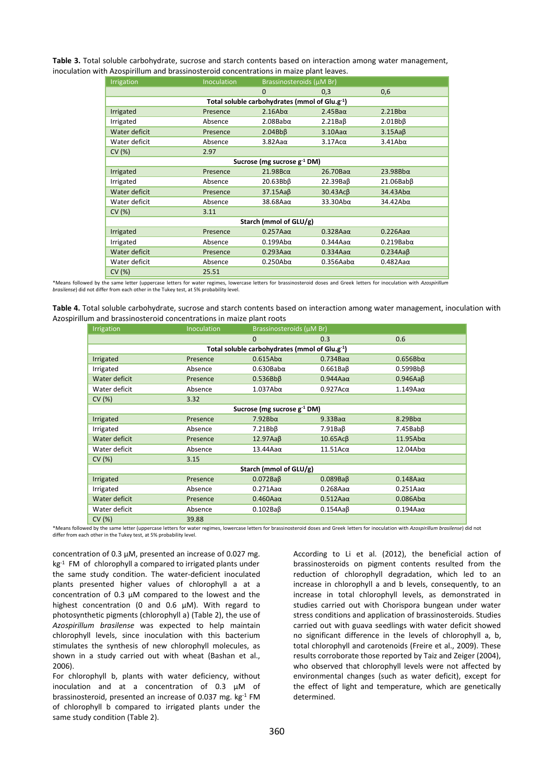**Table 3.** Total soluble carbohydrate, sucrose and starch contents based on interaction among water management, inoculation with Azospirillum and brassinosteroid concentrations in maize plant leaves.

| Irrigation                                                 | Inoculation<br>Brassinosteroids (µM Br) |                     |                      |                      |  |
|------------------------------------------------------------|-----------------------------------------|---------------------|----------------------|----------------------|--|
|                                                            |                                         | $\mathbf{0}$        | 0,3                  | 0,6                  |  |
| Total soluble carbohydrates (mmol of Glu.g <sup>-1</sup> ) |                                         |                     |                      |                      |  |
| Irrigated                                                  | Presence                                | $2.16$ Ab $\alpha$  | $2.45$ Ba $\alpha$   | 2.21Bba              |  |
| Irrigated                                                  | Absence                                 | $2.08$ Bab $\alpha$ | $2.21Ba\beta$        | $2.01Bb\beta$        |  |
| Water deficit                                              | Presence                                | $2.04Bb\beta$       | $3.10$ Aa $\alpha$   | 3.15AaB              |  |
| Water deficit                                              | Absence                                 | $3.82A$ a $\alpha$  | $3.17$ Ac $\alpha$   | $3.41$ Ab $\alpha$   |  |
| CV (%)                                                     | 2.97                                    |                     |                      |                      |  |
| Sucrose (mg sucrose $g^{-1}$ DM)                           |                                         |                     |                      |                      |  |
| Irrigated                                                  | Presence                                | 21.98Bca            | $26.70$ Ba $\alpha$  | 23.98Bba             |  |
| Irrigated                                                  | Absence                                 | $20.63Bb\beta$      | 22.39Baß             | $21.06$ Bab $\beta$  |  |
| Water deficit                                              | Presence                                | $37.15Aa\beta$      | 30.43Acß             | $34.43$ Ab $\alpha$  |  |
| Water deficit                                              | Absence                                 | $38.68$ Aa $\alpha$ | $33.30$ Ab $\alpha$  | 34.42Aba             |  |
| CV(%)                                                      | 3.11                                    |                     |                      |                      |  |
| Starch (mmol of GLU/g)                                     |                                         |                     |                      |                      |  |
| Irrigated                                                  | Presence                                | $0.257$ Aa $\alpha$ | $0.328$ Aa $\alpha$  | $0.226Aa\alpha$      |  |
| Irrigated                                                  | Absence                                 | $0.199A$ ba         | $0.344$ Aa $\alpha$  | $0.219$ Bab $\alpha$ |  |
| Water deficit                                              | Presence                                | $0.293Aa\alpha$     | $0.334A$ a $\alpha$  | 0.234AaB             |  |
| Water deficit                                              | Absence                                 | $0.250$ Ab $\alpha$ | $0.356$ Aab $\alpha$ | $0.482$ Aa $\alpha$  |  |
| CV (%)                                                     | 25.51                                   |                     |                      |                      |  |

\*Means followed by the same letter (uppercase letters for water regimes, lowercase letters for brassinosteroid doses and Greek letters for inoculation with *Azospirillum brasilense*) did not differ from each other in the Tukey test, at 5% probability level.

| Table 4. Total soluble carbohydrate, sucrose and starch contents based on interaction among water management, inoculation with |  |
|--------------------------------------------------------------------------------------------------------------------------------|--|
| Azospirillum and brassinosteroid concentrations in maize plant roots                                                           |  |

| Irrigation                                    | <b>Inoculation</b> | Brassinosteroids (µM Br)         |                     |                     |  |
|-----------------------------------------------|--------------------|----------------------------------|---------------------|---------------------|--|
|                                               |                    | $\Omega$                         | 0.3                 | 0.6                 |  |
| Total soluble carbohydrates (mmol of Glu.g-1) |                    |                                  |                     |                     |  |
| Irrigated                                     | Presence           | $0.615$ Ab $\alpha$              | $0.734$ Ba $\alpha$ | $0.656B$ ba         |  |
| Irrigated                                     | Absence            | $0.630$ Bab $\alpha$             | 0.661BaB            | $0.599Bb\beta$      |  |
| Water deficit                                 | Presence           | $0.536Bb\beta$                   | $0.944A$ a $\alpha$ | $0.946Aa\beta$      |  |
| Water deficit                                 | Absence            | $1.037$ Ab $\alpha$              | $0.927$ Ac $\alpha$ | $1.149$ Aa $\alpha$ |  |
| CV(%)                                         | 3.32               |                                  |                     |                     |  |
|                                               |                    | Sucrose (mg sucrose $g^{-1}$ DM) |                     |                     |  |
| Irrigated                                     | Presence           | 7.92Bba                          | $9.33Ba\alpha$      | $8.29Bb\alpha$      |  |
| Irrigated                                     | Absence            | $7.21Bb\beta$                    | $7.91Ba\beta$       | $7.45$ Bab $\beta$  |  |
| Water deficit                                 | Presence           | 12.97AaB                         | $10.65$ Ac $\beta$  | $11.95$ Ab $\alpha$ |  |
| Water deficit                                 | Absence            | $13.44$ Aa $\alpha$              | $11.51$ Ac $\alpha$ | $12.04$ Ab $\alpha$ |  |
| CV(%)                                         | 3.15               |                                  |                     |                     |  |
| Starch (mmol of GLU/g)                        |                    |                                  |                     |                     |  |
| Irrigated                                     | Presence           | 0.072BaB                         | 0.089BaB            | $0.148$ Aa $\alpha$ |  |
| Irrigated                                     | Absence            | $0.271$ Aa $\alpha$              | $0.268$ Aa $\alpha$ | $0.251$ Aa $\alpha$ |  |
| Water deficit                                 | Presence           | $0.460$ Aa $\alpha$              | $0.512Aa\alpha$     | $0.086$ Ab $\alpha$ |  |
| Water deficit                                 | Absence            | $0.102Ba\beta$                   | 0.154AaB            | $0.194$ Aa $\alpha$ |  |
| CV(%)                                         | 39.88              |                                  |                     |                     |  |

\*Means followed by the same letter (uppercase letters for water regimes, lowercase letters for brassinosteroid doses and Greek letters for inoculation with *Azospirillum brasilense*) did not differ from each other in the Tukey test, at 5% probability level.

concentration of 0.3 μM, presented an increase of 0.027 mg. kg<sup>-1</sup> FM of chlorophyll a compared to irrigated plants under the same study condition. The water-deficient inoculated plants presented higher values of chlorophyll a at a concentration of 0.3 μM compared to the lowest and the highest concentration (0 and 0.6 μM). With regard to photosynthetic pigments (chlorophyll a) (Table 2), the use of *Azospirillum brasilense* was expected to help maintain chlorophyll levels, since inoculation with this bacterium stimulates the synthesis of new chlorophyll molecules, as shown in a study carried out with wheat (Bashan et al., 2006).

For chlorophyll b, plants with water deficiency, without inoculation and at a concentration of 0.3 μM of brassinosteroid, presented an increase of 0.037 mg. kg-1 FM of chlorophyll b compared to irrigated plants under the same study condition (Table 2).

According to Li et al. (2012), the beneficial action of brassinosteroids on pigment contents resulted from the reduction of chlorophyll degradation, which led to an increase in chlorophyll a and b levels, consequently, to an increase in total chlorophyll levels, as demonstrated in studies carried out with Chorispora bungean under water stress conditions and application of brassinosteroids. Studies carried out with guava seedlings with water deficit showed no significant difference in the levels of chlorophyll a, b, total chlorophyll and carotenoids (Freire et al., 2009). These results corroborate those reported by Taiz and Zeiger (2004), who observed that chlorophyll levels were not affected by environmental changes (such as water deficit), except for the effect of light and temperature, which are genetically determined.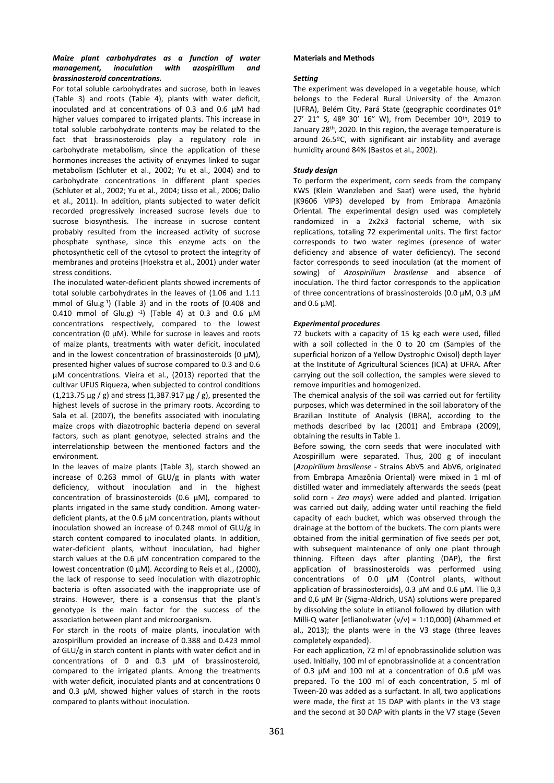# *Maize plant carbohydrates as a function of water management, inoculation with azospirillum and brassinosteroid concentrations.*

For total soluble carbohydrates and sucrose, both in leaves (Table 3) and roots (Table 4), plants with water deficit, inoculated and at concentrations of 0.3 and 0.6 μM had higher values compared to irrigated plants. This increase in total soluble carbohydrate contents may be related to the fact that brassinosteroids play a regulatory role in carbohydrate metabolism, since the application of these hormones increases the activity of enzymes linked to sugar metabolism (Schluter et al., 2002; Yu et al., 2004) and to carbohydrate concentrations in different plant species (Schluter et al., 2002; Yu et al., 2004; Lisso et al., 2006; Dalio et al., 2011). In addition, plants subjected to water deficit recorded progressively increased sucrose levels due to sucrose biosynthesis. The increase in sucrose content probably resulted from the increased activity of sucrose phosphate synthase, since this enzyme acts on the photosynthetic cell of the cytosol to protect the integrity of membranes and proteins (Hoekstra et al., 2001) under water stress conditions.

The inoculated water-deficient plants showed increments of total soluble carbohydrates in the leaves of (1.06 and 1.11 mmol of Glu.g-1 ) (Table 3) and in the roots of (0.408 and 0.410 mmol of Glu.g)  $^{-1}$ ) (Table 4) at 0.3 and 0.6 μM concentrations respectively, compared to the lowest concentration (0 μM). While for sucrose in leaves and roots of maize plants, treatments with water deficit, inoculated and in the lowest concentration of brassinosteroids (0 μM), presented higher values of sucrose compared to 0.3 and 0.6 μM concentrations. Vieira et al., (2013) reported that the cultivar UFUS Riqueza, when subjected to control conditions (1,213.75  $\mu$ g / g) and stress (1,387.917  $\mu$ g / g), presented the highest levels of sucrose in the primary roots. According to Sala et al. (2007), the benefits associated with inoculating maize crops with diazotrophic bacteria depend on several factors, such as plant genotype, selected strains and the interrelationship between the mentioned factors and the environment.

In the leaves of maize plants (Table 3), starch showed an increase of 0.263 mmol of GLU/g in plants with water deficiency, without inoculation and in the highest concentration of brassinosteroids (0.6 μM), compared to plants irrigated in the same study condition. Among waterdeficient plants, at the 0.6 μM concentration, plants without inoculation showed an increase of 0.248 mmol of GLU/g in starch content compared to inoculated plants. In addition, water-deficient plants, without inoculation, had higher starch values at the 0.6 μM concentration compared to the lowest concentration (0 μM). According to Reis et al., (2000), the lack of response to seed inoculation with diazotrophic bacteria is often associated with the inappropriate use of strains. However, there is a consensus that the plant's genotype is the main factor for the success of the association between plant and microorganism.

For starch in the roots of maize plants, inoculation with azospirillum provided an increase of 0.388 and 0.423 mmol of GLU/g in starch content in plants with water deficit and in concentrations of 0 and 0.3 μM of brassinosteroid, compared to the irrigated plants. Among the treatments with water deficit, inoculated plants and at concentrations 0 and 0.3 μM, showed higher values of starch in the roots compared to plants without inoculation.

# **Materials and Methods**

## *Setting*

The experiment was developed in a vegetable house, which belongs to the Federal Rural University of the Amazon (UFRA), Belém City, Pará State (geographic coordinates 01º 27' 21" S, 48º 30' 16" W), from December 10th, 2019 to January 28th, 2020. In this region, the average temperature is around 26.5ºC, with significant air instability and average humidity around 84% (Bastos et al., 2002).

## *Study design*

To perform the experiment, corn seeds from the company KWS (Klein Wanzleben and Saat) were used, the hybrid (K9606 VIP3) developed by from Embrapa Amazônia Oriental. The experimental design used was completely randomized in a 2x2x3 factorial scheme, with six replications, totaling 72 experimental units. The first factor corresponds to two water regimes (presence of water deficiency and absence of water deficiency). The second factor corresponds to seed inoculation (at the moment of sowing) of *Azospirillum brasilense* and absence of inoculation. The third factor corresponds to the application of three concentrations of brassinosteroids (0.0 μM, 0.3 μM and 0.6 μM).

## *Experimental procedures*

72 buckets with a capacity of 15 kg each were used, filled with a soil collected in the 0 to 20 cm (Samples of the superficial horizon of a Yellow Dystrophic Oxisol) depth layer at the Institute of Agricultural Sciences (ICA) at UFRA. After carrying out the soil collection, the samples were sieved to remove impurities and homogenized.

The chemical analysis of the soil was carried out for fertility purposes, which was determined in the soil laboratory of the Brazilian Institute of Analysis (IBRA), according to the methods described by Iac (2001) and Embrapa (2009), obtaining the results in Table 1.

Before sowing, the corn seeds that were inoculated with Azospirillum were separated. Thus, 200 g of inoculant (*Azopirillum brasilense* - Strains AbV5 and AbV6, originated from Embrapa Amazônia Oriental) were mixed in 1 ml of distilled water and immediately afterwards the seeds (peat solid corn - *Zea mays*) were added and planted. Irrigation was carried out daily, adding water until reaching the field capacity of each bucket, which was observed through the drainage at the bottom of the buckets. The corn plants were obtained from the initial germination of five seeds per pot, with subsequent maintenance of only one plant through thinning. Fifteen days after planting (DAP), the first application of brassinosteroids was performed using concentrations of 0.0 μM (Control plants, without application of brassinosteroids), 0.3 μM and 0.6 μM. Tlie 0,3 and 0,6 μM Br (Sigma-Aldrich, USA) solutions were prepared by dissolving the solute in etlianol followed by dilution with Milli-Q water [etlianol:water  $(v/v) = 1:10,000$ ] (Ahammed et al., 2013); the plants were in the V3 stage (three leaves completely expanded).

For each application, 72 ml of epnobrassinolide solution was used. Initially, 100 ml of epnobrassinolide at a concentration of 0.3 μM and 100 ml at a concentration of 0.6 μM was prepared. To the 100 ml of each concentration, 5 ml of Tween-20 was added as a surfactant. In all, two applications were made, the first at 15 DAP with plants in the V3 stage and the second at 30 DAP with plants in the V7 stage (Seven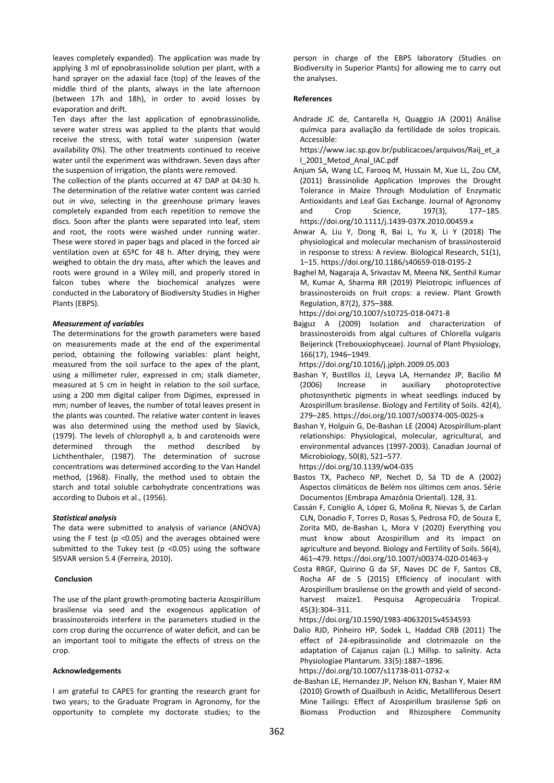leaves completely expanded). The application was made by applying 3 ml of epnobrassinolide solution per plant, with a hand sprayer on the adaxial face (top) of the leaves of the middle third of the plants, always in the late afternoon (between 17h and 18h), in order to avoid losses by evaporation and drift.

Ten days after the last application of epnobrassinolide, severe water stress was applied to the plants that would receive the stress, with total water suspension (water availability 0%). The other treatments continued to receive water until the experiment was withdrawn. Seven days after the suspension of irrigation, the plants were removed.

The collection of the plants occurred at 47 DAP at 04:30 h. The determination of the relative water content was carried out *in vivo*, selecting in the greenhouse primary leaves completely expanded from each repetition to remove the discs. Soon after the plants were separated into leaf, stem and root, the roots were washed under running water. These were stored in paper bags and placed in the forced air ventilation oven at 65ºC for 48 h. After drying, they were weighed to obtain the dry mass, after which the leaves and roots were ground in a Wiley mill, and properly stored in falcon tubes where the biochemical analyzes were conducted in the Laboratory of Biodiversity Studies in Higher Plants (EBPS).

### *Measurement of variables*

The determinations for the growth parameters were based on measurements made at the end of the experimental period, obtaining the following variables: plant height, measured from the soil surface to the apex of the plant, using a millimeter ruler, expressed in cm; stalk diameter, measured at 5 cm in height in relation to the soil surface, using a 200 mm digital caliper from Digimes, expressed in mm; number of leaves, the number of total leaves present in the plants was counted. The relative water content in leaves was also determined using the method used by Slavick, (1979). The levels of chlorophyll a, b and carotenoids were determined through the method described by Lichthenthaler, (1987). The determination of sucrose concentrations was determined according to the Van Handel method, (1968). Finally, the method used to obtain the starch and total soluble carbohydrate concentrations was according to Dubois et al., (1956).

#### *Statistical analysis*

The data were submitted to analysis of variance (ANOVA) using the F test ( $p$  <0.05) and the averages obtained were submitted to the Tukey test ( $p$  <0.05) using the software SISVAR version 5.4 (Ferreira, 2010).

#### **Conclusion**

The use of the plant growth-promoting bacteria Azospirillum brasilense via seed and the exogenous application of brassinosteroids interfere in the parameters studied in the corn crop during the occurrence of water deficit, and can be an important tool to mitigate the effects of stress on the crop.

#### **Acknowledgements**

I am grateful to CAPES for granting the research grant for two years; to the Graduate Program in Agronomy, for the opportunity to complete my doctorate studies; to the person in charge of the EBPS laboratory (Studies on Biodiversity in Superior Plants) for allowing me to carry out the analyses.

#### **References**

Andrade JC de, Cantarella H, Quaggio JA (2001) Análise química para avaliação da fertilidade de solos tropicais. Accessible:

https://www.iac.sp.gov.br/publicacoes/arquivos/Raij\_et\_a l\_2001\_Metod\_Anal\_IAC.pdf

- Anjum SA, Wang LC, Farooq M, Hussain M, Xue LL, Zou CM, (2011) Brassinolide Application Improves the Drought Tolerance in Maize Through Modulation of Enzymatic Antioxidants and Leaf Gas Exchange. Journal of Agronomy and Crop Science, 197(3), 177–185. https://doi.org/10.1111/j.1439-037X.2010.00459.x
- Anwar A, Liu Y, Dong R, Bai L, Yu X, Li Y (2018) The physiological and molecular mechanism of brassinosteroid in response to stress: A review. Biological Research, 51(1), 1–15. https://doi.org/10.1186/s40659-018-0195-2
- Baghel M, Nagaraja A, Srivastav M, Meena NK, Senthil Kumar M, Kumar A, Sharma RR (2019) Pleiotropic influences of brassinosteroids on fruit crops: a review. Plant Growth Regulation, 87(2), 375–388.

https://doi.org/10.1007/s10725-018-0471-8

Bajguz A (2009) Isolation and characterization of brassinosteroids from algal cultures of Chlorella vulgaris Beijerinck (Trebouxiophyceae). Journal of Plant Physiology, 166(17), 1946–1949.

https://doi.org/10.1016/j.jplph.2009.05.003

- Bashan Y, Bustillos JJ, Leyva LA, Hernandez JP, Bacilio M (2006) Increase in auxiliary photoprotective photosynthetic pigments in wheat seedlings induced by Azospirillum brasilense. Biology and Fertility of Soils. 42(4), 279–285. https://doi.org/10.1007/s00374-005-0025-x
- Bashan Y, Holguin G, De-Bashan LE (2004) Azospirillum-plant relationships: Physiological, molecular, agricultural, and environmental advances (1997-2003). Canadian Journal of Microbiology, 50(8), 521–577.

https://doi.org/10.1139/w04-035

- Bastos TX, Pacheco NP, Nechet D, Sá TD de A (2002) Aspectos climáticos de Belém nos últimos cem anos. Série Documentos (Embrapa Amazônia Oriental). 128, 31.
- Cassán F, Coniglio A, López G, Molina R, Nievas S, de Carlan CLN, Donadio F, Torres D, Rosas S, Pedrosa FO, de Souza E, Zorita MD, de-Bashan L, Mora V (2020) Everything you must know about Azospirillum and its impact on agriculture and beyond. Biology and Fertility of Soils. 56(4), 461–479. https://doi.org/10.1007/s00374-020-01463-y
- Costa RRGF, Quirino G da SF, Naves DC de F, Santos CB, Rocha AF de S (2015) Efficiency of inoculant with Azospirillum brasilense on the growth and yield of secondharvest maize1. Pesquisa Agropecuária Tropical. 45(3):304–311.

https://doi.org/10.1590/1983-40632015v4534593

Dalio RJD, Pinheiro HP, Sodek L, Haddad CRB (2011) The effect of 24-epibrassinolide and clotrimazole on the adaptation of Cajanus cajan (L.) Millsp. to salinity. Acta Physiologiae Plantarum. 33(5):1887–1896. https://doi.org/10.1007/s11738-011-0732-x

de-Bashan LE, Hernandez JP, Nelson KN, Bashan Y, Maier RM

(2010) Growth of Quailbush in Acidic, Metalliferous Desert Mine Tailings: Effect of Azospirillum brasilense Sp6 on Biomass Production and Rhizosphere Community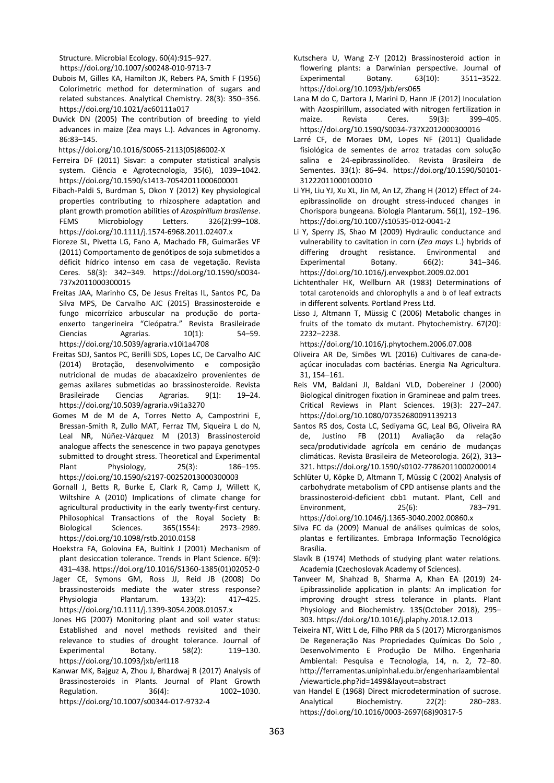Structure. Microbial Ecology. 60(4):915–927. https://doi.org/10.1007/s00248-010-9713-7

- Dubois M, Gilles KA, Hamilton JK, Rebers PA, Smith F (1956) Colorimetric method for determination of sugars and related substances. Analytical Chemistry. 28(3): 350–356. https://doi.org/10.1021/ac60111a017
- Duvick DN (2005) The contribution of breeding to yield advances in maize (Zea mays L.). Advances in Agronomy. 86:83–145.

https://doi.org/10.1016/S0065-2113(05)86002-X

- Ferreira DF (2011) Sisvar: a computer statistical analysis system. Ciência e Agrotecnologia, 35(6), 1039–1042. https://doi.org/10.1590/s1413-70542011000600001
- Fibach-Paldi S, Burdman S, Okon Y (2012) Key physiological properties contributing to rhizosphere adaptation and plant growth promotion abilities of *Azospirillum brasilense*. FEMS Microbiology Letters. 326(2):99-108. https://doi.org/10.1111/j.1574-6968.2011.02407.x
- Fioreze SL, Pivetta LG, Fano A, Machado FR, Guimarães VF (2011) Comportamento de genótipos de soja submetidos a déficit hídrico intenso em casa de vegetação. Revista Ceres. 58(3): 342–349. https://doi.org/10.1590/s0034- 737x2011000300015
- Freitas JAA, Marinho CS, De Jesus Freitas IL, Santos PC, Da Silva MPS, De Carvalho AJC (2015) Brassinosteroide e fungo micorrízico arbuscular na produção do portaenxerto tangerineira "Cleópatra." Revista Brasileirade Ciencias Agrarias. 10(1): 54–59. https://doi.org/10.5039/agraria.v10i1a4708
- Freitas SDJ, Santos PC, Berilli SDS, Lopes LC, De Carvalho AJC (2014) Brotação, desenvolvimento e composição nutricional de mudas de abacaxizeiro provenientes de gemas axilares submetidas ao brassinosteroide. Revista Brasileirade Ciencias Agrarias. 9(1): 19–24. https://doi.org/10.5039/agraria.v9i1a3270
- Gomes M de M de A, Torres Netto A, Campostrini E, Bressan-Smith R, Zullo MAT, Ferraz TM, Siqueira L do N, Leal NR, Núñez-Vázquez M (2013) Brassinosteroid analogue affects the senescence in two papaya genotypes submitted to drought stress. Theoretical and Experimental Plant Physiology, 25(3): 186–195. https://doi.org/10.1590/s2197-00252013000300003
- Gornall J, Betts R, Burke E, Clark R, Camp J, Willett K, Wiltshire A (2010) Implications of climate change for agricultural productivity in the early twenty-first century. Philosophical Transactions of the Royal Society B: Biological Sciences. 365(1554): 2973–2989. https://doi.org/10.1098/rstb.2010.0158
- Hoekstra FA, Golovina EA, Buitink J (2001) Mechanism of plant desiccation tolerance. Trends in Plant Science. 6(9): 431–438. https://doi.org/10.1016/S1360-1385(01)02052-0
- Jager CE, Symons GM, Ross JJ, Reid JB (2008) Do brassinosteroids mediate the water stress response? Physiologia Plantarum. 133(2): 417–425. https://doi.org/10.1111/j.1399-3054.2008.01057.x
- Jones HG (2007) Monitoring plant and soil water status: Established and novel methods revisited and their relevance to studies of drought tolerance. Journal of Experimental Botany. 58(2): 119-130. https://doi.org/10.1093/jxb/erl118
- Kanwar MK, Bajguz A, Zhou J, Bhardwaj R (2017) Analysis of Brassinosteroids in Plants. Journal of Plant Growth Regulation. 36(4): 1002-1030. https://doi.org/10.1007/s00344-017-9732-4
- Kutschera U, Wang Z-Y (2012) Brassinosteroid action in flowering plants: a Darwinian perspective. Journal of Experimental Botany. 63(10): 3511–3522. https://doi.org/10.1093/jxb/ers065
- Lana M do C, Dartora J, Marini D, Hann JE (2012) Inoculation with Azospirillum, associated with nitrogen fertilization in maize. Revista Ceres. 59(3): 399–405. https://doi.org/10.1590/S0034-737X2012000300016
- Larré CF, de Moraes DM, Lopes NF (2011) Qualidade fisiológica de sementes de arroz tratadas com solução salina e 24-epibrassinolídeo. Revista Brasileira de Sementes. 33(1): 86–94. https://doi.org/10.1590/S0101- 31222011000100010
- Li YH, Liu YJ, Xu XL, Jin M, An LZ, Zhang H (2012) Effect of 24 epibrassinolide on drought stress-induced changes in Chorispora bungeana. Biologia Plantarum. 56(1), 192–196. https://doi.org/10.1007/s10535-012-0041-2
- Li Y, Sperry JS, Shao M (2009) Hydraulic conductance and vulnerability to cavitation in corn (*Zea mays* L.) hybrids of differing drought resistance. Environmental and Experimental Botany. 66(2): 341–346. https://doi.org/10.1016/j.envexpbot.2009.02.001
- Lichtenthaler HK, Wellburn AR (1983) Determinations of total carotenoids and chlorophylls a and b of leaf extracts in different solvents. Portland Press Ltd.
- Lisso J, Altmann T, Müssig C (2006) Metabolic changes in fruits of the tomato dx mutant. Phytochemistry. 67(20): 2232–2238.

https://doi.org/10.1016/j.phytochem.2006.07.008

- Oliveira AR De, Simões WL (2016) Cultivares de cana-deaçúcar inoculadas com bactérias. Energia Na Agricultura. 31, 154–161.
- Reis VM, Baldani JI, Baldani VLD, Dobereiner J (2000) Biological dinitrogen fixation in Gramineae and palm trees. Critical Reviews in Plant Sciences. 19(3): 227–247. https://doi.org/10.1080/07352680091139213
- Santos RS dos, Costa LC, Sediyama GC, Leal BG, Oliveira RA de, Justino FB (2011) Avaliação da relação seca/produtividade agrícola em cenário de mudanças climáticas. Revista Brasileira de Meteorologia. 26(2), 313– 321. https://doi.org/10.1590/s0102-77862011000200014
- Schlüter U, Köpke D, Altmann T, Müssig C (2002) Analysis of carbohydrate metabolism of CPD antisense plants and the brassinosteroid-deficient cbb1 mutant. Plant, Cell and Environment, 25(6): 783–791. https://doi.org/10.1046/j.1365-3040.2002.00860.x
- Silva FC da (2009) Manual de análises químicas de solos, plantas e fertilizantes. Embrapa Informação Tecnológica Brasília.
- Slavík B (1974) Methods of studying plant water relations. Academia (Czechoslovak Academy of Sciences).
- Tanveer M, Shahzad B, Sharma A, Khan EA (2019) 24- Epibrassinolide application in plants: An implication for improving drought stress tolerance in plants. Plant Physiology and Biochemistry. 135(October 2018), 295– 303. https://doi.org/10.1016/j.plaphy.2018.12.013
- Teixeira NT, Witt L de, Filho PRR da S (2017) Microrganismos De Regeneração Nas Propriedades Químicas Do Solo , Desenvolvimento E Produção De Milho. Engenharia Ambiental: Pesquisa e Tecnologia, 14, n. 2, 72–80. http://ferramentas.unipinhal.edu.br/engenhariaambiental /viewarticle.php?id=1499&layout=abstract
- van Handel E (1968) Direct microdetermination of sucrose. Analytical Biochemistry. 22(2): 280–283. https://doi.org/10.1016/0003-2697(68)90317-5